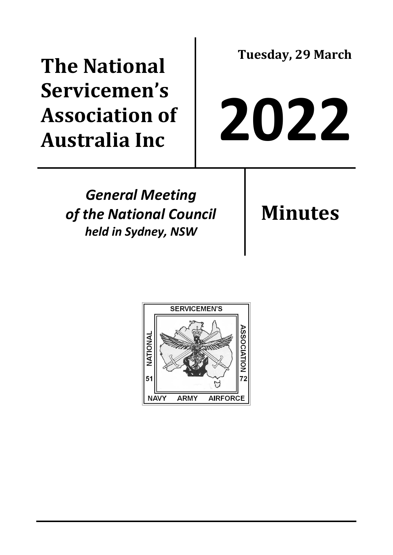## **The National Servicemen's Association of Australia Inc**

**Tuesday, 29 March**

# **2022**

*General Meeting of the National Council held in Sydney, NSW*

**Minutes**

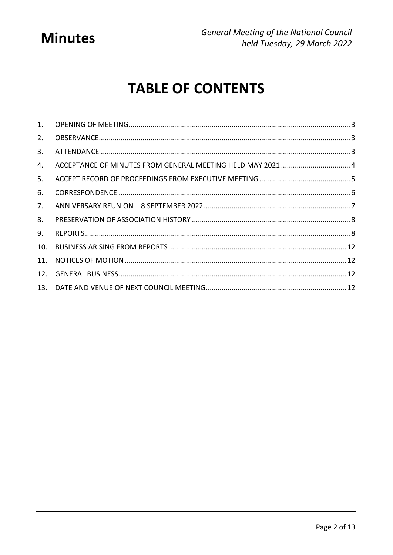### **Minutes**

## **TABLE OF CONTENTS**

| 2.  |  |
|-----|--|
| 3.  |  |
| 4.  |  |
| 5.  |  |
| 6.  |  |
| 7.  |  |
| 8.  |  |
| 9.  |  |
| 10. |  |
| 11. |  |
| 12. |  |
|     |  |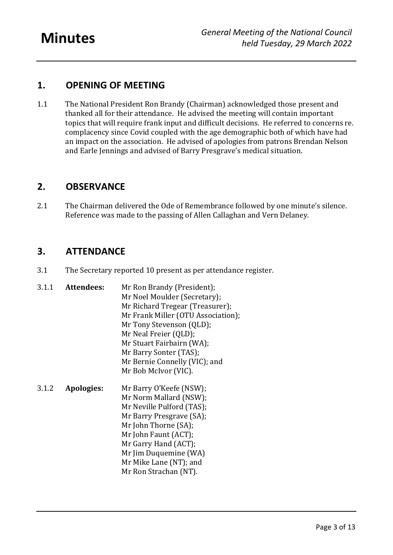#### <span id="page-2-0"></span>**1. OPENING OF MEETING**

1.1 The National President Ron Brandy (Chairman) acknowledged those present and thanked all for their attendance. He advised the meeting will contain important topics that will require frank input and difficult decisions. He referred to concerns re. complacency since Covid coupled with the age demographic both of which have had an impact on the association. He advised of apologies from patrons Brendan Nelson and Earle Jennings and advised of Barry Presgrave's medical situation.

#### <span id="page-2-1"></span>**2. OBSERVANCE**

2.1 The Chairman delivered the Ode of Remembrance followed by one minute's silence. Reference was made to the passing of Allen Callaghan and Vern Delaney.

#### <span id="page-2-2"></span>**3. ATTENDANCE**

- 3.1 The Secretary reported 10 present as per attendance register.
- 3.1.1 **Attendees:** Mr Ron Brandy (President); Mr Noel Moulder (Secretary); Mr Richard Tregear (Treasurer); Mr Frank Miller (OTU Association); Mr Tony Stevenson (QLD); Mr Neal Freier (QLD); Mr Stuart Fairbairn (WA); Mr Barry Sonter (TAS); Mr Bernie Connelly (VIC); and Mr Bob McIvor (VIC). 3.1.2 **Apologies:** Mr Barry O'Keefe (NSW); Mr Norm Mallard (NSW); Mr Neville Pulford (TAS); Mr Barry Presgrave (SA); Mr John Thorne (SA); Mr John Faunt (ACT); Mr Garry Hand (ACT);
	- Mr Jim Duquemine (WA) Mr Mike Lane (NT); and
		- Mr Ron Strachan (NT).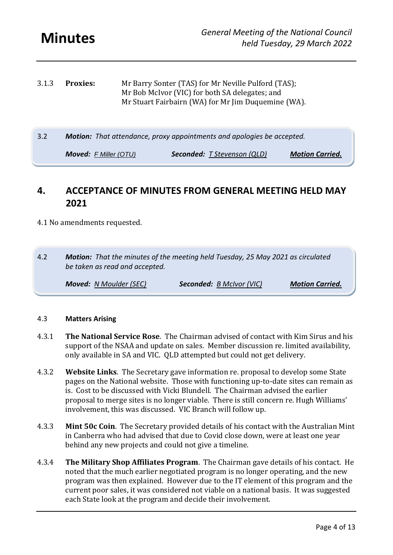| 3.1.3 | <b>Proxies:</b> | Mr Barry Sonter (TAS) for Mr Neville Pulford (TAS); |
|-------|-----------------|-----------------------------------------------------|
|       |                 | Mr Bob McIvor (VIC) for both SA delegates; and      |
|       |                 | Mr Stuart Fairbairn (WA) for Mr Jim Duquemine (WA). |

3.2 *Motion: That attendance, proxy appointments and apologies be accepted.*

*Moved: F Miller (OTU) Seconded: T Stevenson (QLD) Motion Carried.*

#### <span id="page-3-0"></span>**4. ACCEPTANCE OF MINUTES FROM GENERAL MEETING HELD MAY 2021**

#### 4.1 No amendments requested.

4.2 *Motion: That the minutes of the meeting held Tuesday, 25 May 2021 as circulated be taken as read and accepted.*

*Moved: N Moulder (SEC) Seconded: B McIvor (VIC) Motion Carried.*

#### 4.3 **Matters Arising**

- 4.3.1 **The National Service Rose**. The Chairman advised of contact with Kim Sirus and his support of the NSAA and update on sales. Member discussion re. limited availability, only available in SA and VIC. QLD attempted but could not get delivery.
- 4.3.2 **Website Links**. The Secretary gave information re. proposal to develop some State pages on the National website. Those with functioning up-to-date sites can remain as is. Cost to be discussed with Vicki Blundell. The Chairman advised the earlier proposal to merge sites is no longer viable. There is still concern re. Hugh Williams' involvement, this was discussed. VIC Branch will follow up.
- 4.3.3 **Mint 50c Coin**. The Secretary provided details of his contact with the Australian Mint in Canberra who had advised that due to Covid close down, were at least one year behind any new projects and could not give a timeline.
- 4.3.4 **The Military Shop Affiliates Program**. The Chairman gave details of his contact. He noted that the much earlier negotiated program is no longer operating, and the new program was then explained. However due to the IT element of this program and the current poor sales, it was considered not viable on a national basis. It was suggested each State look at the program and decide their involvement.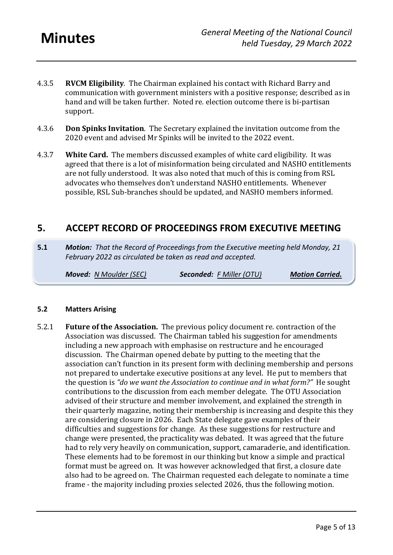- 4.3.5 **RVCM Eligibility**. The Chairman explained his contact with Richard Barry and communication with government ministers with a positive response; described as in hand and will be taken further. Noted re. election outcome there is bi-partisan support.
- 4.3.6 **Don Spinks Invitation**. The Secretary explained the invitation outcome from the 2020 event and advised Mr Spinks will be invited to the 2022 event.
- 4.3.7 **White Card.** The members discussed examples of white card eligibility. It was agreed that there is a lot of misinformation being circulated and NASHO entitlements are not fully understood. It was also noted that much of this is coming from RSL advocates who themselves don't understand NASHO entitlements. Whenever possible, RSL Sub-branches should be updated, and NASHO members informed.

#### <span id="page-4-0"></span>**5. ACCEPT RECORD OF PROCEEDINGS FROM EXECUTIVE MEETING**

**5.1** *Motion: That the Record of Proceedings from the Executive meeting held Monday, 21 February 2022 as circulated be taken as read and accepted.*

*Moved: N Moulder (SEC) Seconded: F Miller (OTU) Motion Carried.*

#### **5.2 Matters Arising**

5.2.1 **Future of the Association.** The previous policy document re. contraction of the Association was discussed. The Chairman tabled his suggestion for amendments including a new approach with emphasise on restructure and he encouraged discussion. The Chairman opened debate by putting to the meeting that the association can't function in its present form with declining membership and persons not prepared to undertake executive positions at any level. He put to members that the question is *"do we want the Association to continue and in what form?"* He sought contributions to the discussion from each member delegate. The OTU Association advised of their structure and member involvement, and explained the strength in their quarterly magazine, noting their membership is increasing and despite this they are considering closure in 2026. Each State delegate gave examples of their difficulties and suggestions for change. As these suggestions for restructure and change were presented, the practicality was debated. It was agreed that the future had to rely very heavily on communication, support, camaraderie, and identification. These elements had to be foremost in our thinking but know a simple and practical format must be agreed on. It was however acknowledged that first, a closure date also had to be agreed on. The Chairman requested each delegate to nominate a time frame - the majority including proxies selected 2026, thus the following motion.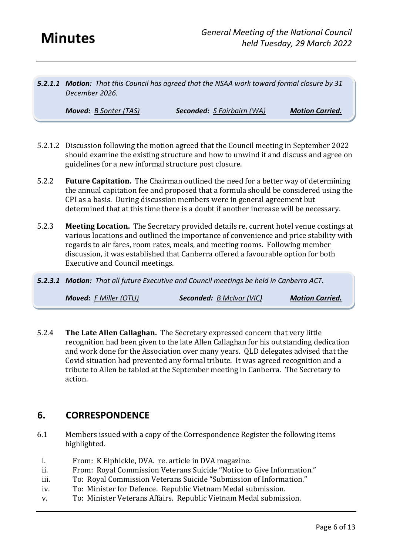*5.2.1.1 Motion: That this Council has agreed that the NSAA work toward formal closure by 31 December 2026.*

*Moved: B Sonter (TAS) Seconded: S Fairbairn (WA) Motion Carried.*

- 5.2.1.2 Discussion following the motion agreed that the Council meeting in September 2022 should examine the existing structure and how to unwind it and discuss and agree on guidelines for a new informal structure post closure.
- 5.2.2 **Future Capitation.** The Chairman outlined the need for a better way of determining the annual capitation fee and proposed that a formula should be considered using the CPI as a basis. During discussion members were in general agreement but determined that at this time there is a doubt if another increase will be necessary.
- 5.2.3 **Meeting Location.** The Secretary provided details re. current hotel venue costings at various locations and outlined the importance of convenience and price stability with regards to air fares, room rates, meals, and meeting rooms. Following member discussion, it was established that Canberra offered a favourable option for both Executive and Council meetings.
- *5.2.3.1 Motion: That all future Executive and Council meetings be held in Canberra ACT.*

*Moved: F Miller (OTU) Seconded: B McIvor (VIC) Motion Carried.*

5.2.4 **The Late Allen Callaghan.** The Secretary expressed concern that very little recognition had been given to the late Allen Callaghan for his outstanding dedication and work done for the Association over many years. QLD delegates advised that the Covid situation had prevented any formal tribute. It was agreed recognition and a tribute to Allen be tabled at the September meeting in Canberra. The Secretary to action.

#### <span id="page-5-0"></span>**6. CORRESPONDENCE**

- 6.1 Members issued with a copy of the Correspondence Register the following items highlighted.
	- i. From: K Elphickle, DVA. re. article in DVA magazine.
	- ii. From: Royal Commission Veterans Suicide "Notice to Give Information."
	- iii. To: Royal Commission Veterans Suicide "Submission of Information."
	- iv. To: Minister for Defence. Republic Vietnam Medal submission.
	- v. To: Minister Veterans Affairs. Republic Vietnam Medal submission.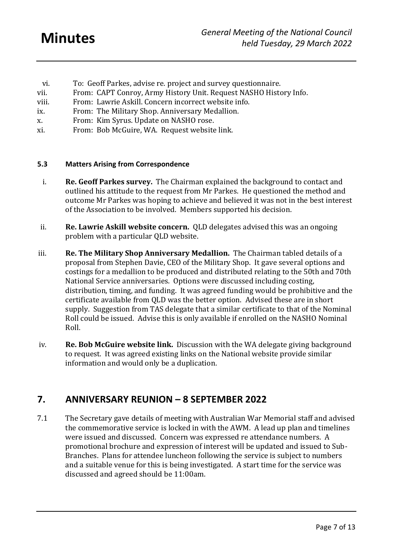- vi. To: Geoff Parkes, advise re. project and survey questionnaire.
- vii. From: CAPT Conroy, Army History Unit. Request NASHO History Info.
- viii. From: Lawrie Askill. Concern incorrect website info.
- ix. From: The Military Shop. Anniversary Medallion.
- x. From: Kim Syrus. Update on NASHO rose.
- xi. From: Bob McGuire, WA. Request website link.

#### **5.3 Matters Arising from Correspondence**

- i. **Re. Geoff Parkes survey.** The Chairman explained the background to contact and outlined his attitude to the request from Mr Parkes. He questioned the method and outcome Mr Parkes was hoping to achieve and believed it was not in the best interest of the Association to be involved. Members supported his decision.
- ii. **Re. Lawrie Askill website concern.** QLD delegates advised this was an ongoing problem with a particular QLD website.
- iii. **Re. The Military Shop Anniversary Medallion.** The Chairman tabled details of a proposal from Stephen Davie, CEO of the Military Shop. It gave several options and costings for a medallion to be produced and distributed relating to the 50th and 70th National Service anniversaries. Options were discussed including costing, distribution, timing, and funding. It was agreed funding would be prohibitive and the certificate available from QLD was the better option. Advised these are in short supply. Suggestion from TAS delegate that a similar certificate to that of the Nominal Roll could be issued. Advise this is only available if enrolled on the NASHO Nominal Roll.
- iv. **Re. Bob McGuire website link.** Discussion with the WA delegate giving background to request. It was agreed existing links on the National website provide similar information and would only be a duplication.

#### <span id="page-6-0"></span>**7. ANNIVERSARY REUNION – 8 SEPTEMBER 2022**

7.1 The Secretary gave details of meeting with Australian War Memorial staff and advised the commemorative service is locked in with the AWM. A lead up plan and timelines were issued and discussed. Concern was expressed re attendance numbers. A promotional brochure and expression of interest will be updated and issued to Sub-Branches. Plans for attendee luncheon following the service is subject to numbers and a suitable venue for this is being investigated. A start time for the service was discussed and agreed should be 11:00am.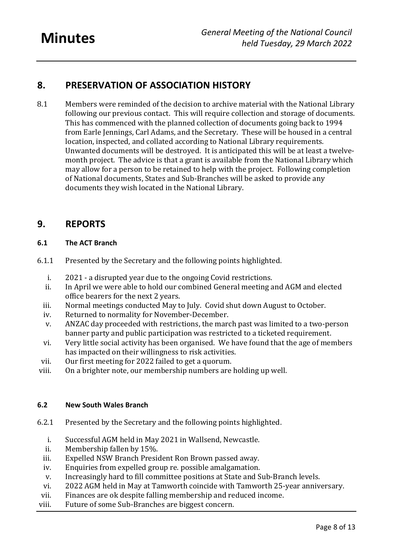#### <span id="page-7-0"></span>**8. PRESERVATION OF ASSOCIATION HISTORY**

8.1 Members were reminded of the decision to archive material with the National Library following our previous contact. This will require collection and storage of documents. This has commenced with the planned collection of documents going back to 1994 from Earle Jennings, Carl Adams, and the Secretary. These will be housed in a central location, inspected, and collated according to National Library requirements. Unwanted documents will be destroyed. It is anticipated this will be at least a twelvemonth project. The advice is that a grant is available from the National Library which may allow for a person to be retained to help with the project. Following completion of National documents, States and Sub-Branches will be asked to provide any documents they wish located in the National Library.

#### <span id="page-7-1"></span>**9. REPORTS**

#### **6.1 The ACT Branch**

- 6.1.1 Presented by the Secretary and the following points highlighted.
	- i. 2021 a disrupted year due to the ongoing Covid restrictions.
	- ii. In April we were able to hold our combined General meeting and AGM and elected office bearers for the next 2 years.
	- iii. Normal meetings conducted May to July. Covid shut down August to October.
	- iv. Returned to normality for November-December.
	- v. ANZAC day proceeded with restrictions, the march past was limited to a two-person banner party and public participation was restricted to a ticketed requirement.
	- vi. Very little social activity has been organised. We have found that the age of members has impacted on their willingness to risk activities.
- vii. Our first meeting for 2022 failed to get a quorum.
- viii. On a brighter note, our membership numbers are holding up well.

#### **6.2 New South Wales Branch**

- 6.2.1 Presented by the Secretary and the following points highlighted.
	- i. Successful AGM held in May 2021 in Wallsend, Newcastle.
	- ii. Membership fallen by 15%.
	- iii. Expelled NSW Branch President Ron Brown passed away.
	- iv. Enquiries from expelled group re. possible amalgamation.
	- v. Increasingly hard to fill committee positions at State and Sub-Branch levels.
	- vi. 2022 AGM held in May at Tamworth coincide with Tamworth 25-year anniversary.
- vii. Finances are ok despite falling membership and reduced income.
- viii. Future of some Sub-Branches are biggest concern.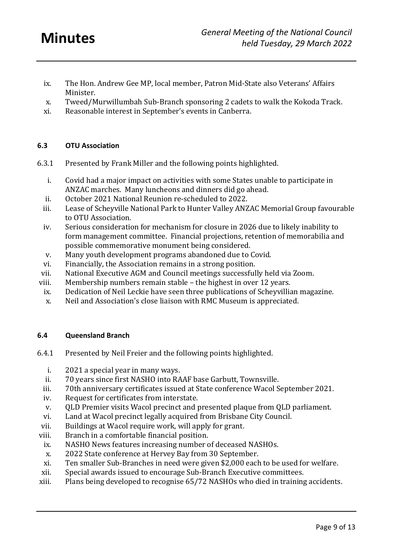- ix. The Hon. Andrew Gee MP, local member, Patron Mid-State also Veterans' Affairs Minister.
- x. Tweed/Murwillumbah Sub-Branch sponsoring 2 cadets to walk the Kokoda Track.
- xi. Reasonable interest in September's events in Canberra.

#### **6.3 OTU Association**

- 6.3.1 Presented by Frank Miller and the following points highlighted.
	- i. Covid had a major impact on activities with some States unable to participate in ANZAC marches. Many luncheons and dinners did go ahead.
	- ii. October 2021 National Reunion re-scheduled to 2022.
	- iii. Lease of Scheyville National Park to Hunter Valley ANZAC Memorial Group favourable to OTU Association.
	- iv. Serious consideration for mechanism for closure in 2026 due to likely inability to form management committee. Financial projections, retention of memorabilia and possible commemorative monument being considered.
	- v. Many youth development programs abandoned due to Covid.
	- vi. Financially, the Association remains in a strong position.
- vii. National Executive AGM and Council meetings successfully held via Zoom.
- viii. Membership numbers remain stable the highest in over 12 years.
- ix. Dedication of Neil Leckie have seen three publications of Scheyvillian magazine.
- x. Neil and Association's close liaison with RMC Museum is appreciated.

#### **6.4 Queensland Branch**

- 6.4.1 Presented by Neil Freier and the following points highlighted.
	- i. 2021 a special year in many ways.
	- ii. 70 years since first NASHO into RAAF base Garbutt, Townsville.
	- iii. 70th anniversary certificates issued at State conference Wacol September 2021.
	- iv. Request for certificates from interstate.
	- v. QLD Premier visits Wacol precinct and presented plaque from QLD parliament.
	- vi. Land at Wacol precinct legally acquired from Brisbane City Council.
	- vii. Buildings at Wacol require work, will apply for grant.
- viii. Branch in a comfortable financial position.
- ix. NASHO News features increasing number of deceased NASHOs.
- x. 2022 State conference at Hervey Bay from 30 September.
- xi. Ten smaller Sub-Branches in need were given \$2,000 each to be used for welfare.
- xii. Special awards issued to encourage Sub-Branch Executive committees.
- xiii. Plans being developed to recognise 65/72 NASHOs who died in training accidents.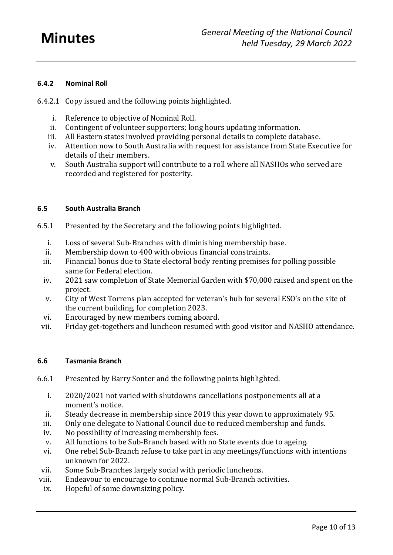#### **6.4.2 Nominal Roll**

- 6.4.2.1 Copy issued and the following points highlighted.
	- i. Reference to objective of Nominal Roll.
	- ii. Contingent of volunteer supporters; long hours updating information.
	- iii. All Eastern states involved providing personal details to complete database.
	- iv. Attention now to South Australia with request for assistance from State Executive for details of their members.
	- v. South Australia support will contribute to a roll where all NASHOs who served are recorded and registered for posterity.

#### **6.5 South Australia Branch**

- 6.5.1 Presented by the Secretary and the following points highlighted.
	- i. Loss of several Sub-Branches with diminishing membership base.
	- ii. Membership down to 400 with obvious financial constraints.
	- iii. Financial bonus due to State electoral body renting premises for polling possible same for Federal election.
	- iv. 2021 saw completion of State Memorial Garden with \$70,000 raised and spent on the project.
	- v. City of West Torrens plan accepted for veteran's hub for several ESO's on the site of the current building, for completion 2023.
	- vi. Encouraged by new members coming aboard.
- vii. Friday get-togethers and luncheon resumed with good visitor and NASHO attendance.

#### **6.6 Tasmania Branch**

- 6.6.1 Presented by Barry Sonter and the following points highlighted.
	- i. 2020/2021 not varied with shutdowns cancellations postponements all at a moment's notice.
	- ii. Steady decrease in membership since 2019 this year down to approximately 95.
	- iii. Only one delegate to National Council due to reduced membership and funds.
	- iv. No possibility of increasing membership fees.
	- v. All functions to be Sub-Branch based with no State events due to ageing.
	- vi. One rebel Sub-Branch refuse to take part in any meetings/functions with intentions unknown for 2022.
- vii. Some Sub-Branches largely social with periodic luncheons.
- viii. Endeavour to encourage to continue normal Sub-Branch activities.
- ix. Hopeful of some downsizing policy.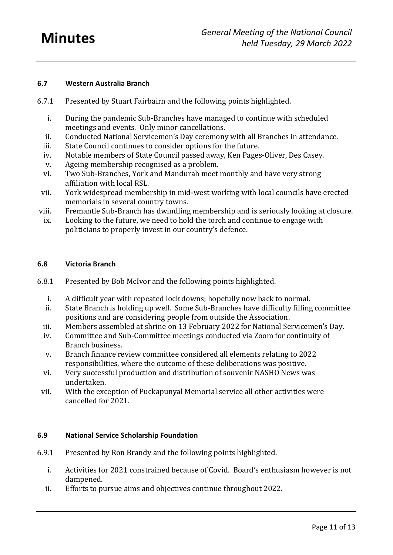#### **6.7 Western Australia Branch**

- 6.7.1 Presented by Stuart Fairbairn and the following points highlighted.
	- i. During the pandemic Sub-Branches have managed to continue with scheduled meetings and events. Only minor cancellations.
	- ii. Conducted National Servicemen's Day ceremony with all Branches in attendance.
	- iii. State Council continues to consider options for the future.
	- iv. Notable members of State Council passed away, Ken Pages-Oliver, Des Casey.
	- v. Ageing membership recognised as a problem.
	- vi. Two Sub-Branches, York and Mandurah meet monthly and have very strong affiliation with local RSL.
- vii. York widespread membership in mid-west working with local councils have erected memorials in several country towns.
- viii. Fremantle Sub-Branch has dwindling membership and is seriously looking at closure.
- ix. Looking to the future, we need to hold the torch and continue to engage with politicians to properly invest in our country's defence.

#### **6.8 Victoria Branch**

- 6.8.1 Presented by Bob McIvor and the following points highlighted.
	- i. A difficult year with repeated lock downs; hopefully now back to normal.
	- ii. State Branch is holding up well. Some Sub-Branches have difficulty filling committee positions and are considering people from outside the Association.
	- iii. Members assembled at shrine on 13 February 2022 for National Servicemen's Day.
	- iv. Committee and Sub-Committee meetings conducted via Zoom for continuity of Branch business.
	- v. Branch finance review committee considered all elements relating to 2022 responsibilities, where the outcome of these deliberations was positive.
	- vi. Very successful production and distribution of souvenir NASHO News was undertaken.
	- vii. With the exception of Puckapunyal Memorial service all other activities were cancelled for 2021.

#### **6.9 National Service Scholarship Foundation**

- 6.9.1 Presented by Ron Brandy and the following points highlighted.
	- i. Activities for 2021 constrained because of Covid. Board's enthusiasm however is not dampened.
	- ii. Efforts to pursue aims and objectives continue throughout 2022.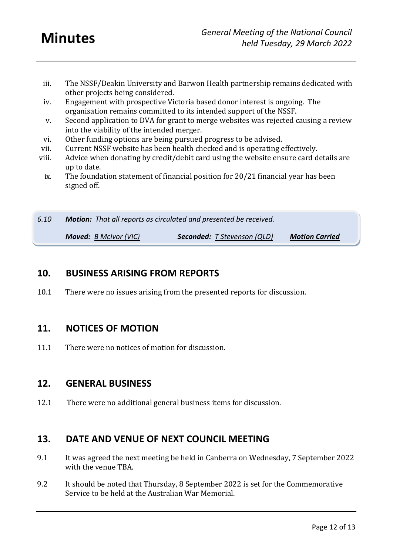- iii. The NSSF/Deakin University and Barwon Health partnership remains dedicated with other projects being considered.
- iv. Engagement with prospective Victoria based donor interest is ongoing. The organisation remains committed to its intended support of the NSSF.
- v. Second application to DVA for grant to merge websites was rejected causing a review into the viability of the intended merger.
- vi. Other funding options are being pursued progress to be advised.
- vii. Current NSSF website has been health checked and is operating effectively.
- viii. Advice when donating by credit/debit card using the website ensure card details are up to date.
- ix. The foundation statement of financial position for 20/21 financial year has been signed off.

*6.10 Motion: That all reports as circulated and presented be received. Moved: B McIvor (VIC) Seconded: T Stevenson (QLD) Motion Carried*

#### <span id="page-11-0"></span>**10. BUSINESS ARISING FROM REPORTS**

10.1 There were no issues arising from the presented reports for discussion.

#### <span id="page-11-1"></span>**11. NOTICES OF MOTION**

11.1 There were no notices of motion for discussion.

#### <span id="page-11-2"></span>**12. GENERAL BUSINESS**

12.1 There were no additional general business items for discussion.

#### <span id="page-11-3"></span>**13. DATE AND VENUE OF NEXT COUNCIL MEETING**

- 9.1 It was agreed the next meeting be held in Canberra on Wednesday, 7 September 2022 with the venue TBA.
- 9.2 It should be noted that Thursday, 8 September 2022 is set for the Commemorative Service to be held at the Australian War Memorial.